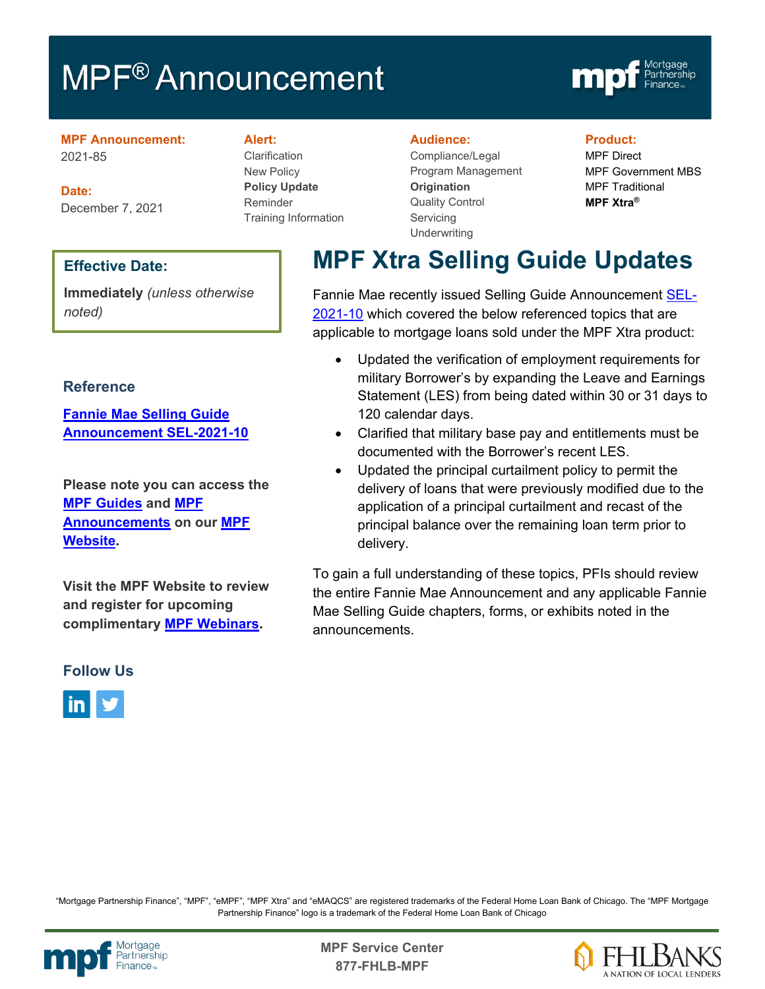# MPF<sup>®</sup> Announcement



**MPF Announcement:** 2021-85

**Date:** December 7, 2021

### **Effective Date:**

**Immediately** *(unless otherwise noted)*

### **Reference**

**[Fannie Mae Selling Guide](https://singlefamily.fanniemae.com/media/30041/display)  [Announcement SEL-2021-10](https://singlefamily.fanniemae.com/media/30041/display)**

**Please note you can access the [MPF Guides](https://fhlbmpf.com/mpf-guides/guides) and [MPF](https://fhlbmpf.com/mpf-guides/announcements)  [Announcements](https://fhlbmpf.com/mpf-guides/announcements) on our [MPF](https://fhlbmpf.com/)  [Website.](https://fhlbmpf.com/)** 

**Visit the MPF Website to review and register for upcoming complimentary [MPF Webinars.](https://www.fhlbmpf.com/education/upcoming-webinars)**

### **Follow Us**



#### **Alert:**

Clarification New Policy **Policy Update** Reminder Training Information

#### **Audience:**

Compliance/Legal Program Management **Origination**  Quality Control **Servicing Underwriting** 

#### **Product:**

MPF Direct MPF Government MBS MPF Traditional **MPF Xtra®**

# **MPF Xtra Selling Guide Updates**

Fannie Mae recently issued Selling Guide Announcement [SEL-](https://singlefamily.fanniemae.com/media/30041/display)[2021-10](https://singlefamily.fanniemae.com/media/30041/display) which covered the below referenced topics that are applicable to mortgage loans sold under the MPF Xtra product:

- Updated the verification of employment requirements for military Borrower's by expanding the Leave and Earnings Statement (LES) from being dated within 30 or 31 days to 120 calendar days.
- Clarified that military base pay and entitlements must be documented with the Borrower's recent LES.
- Updated the principal curtailment policy to permit the delivery of loans that were previously modified due to the application of a principal curtailment and recast of the principal balance over the remaining loan term prior to delivery.

To gain a full understanding of these topics, PFIs should review the entire Fannie Mae Announcement and any applicable Fannie Mae Selling Guide chapters, forms, or exhibits noted in the announcements.

"Mortgage Partnership Finance", "MPF", "eMPF", "MPF Xtra" and "eMAQCS" are registered trademarks of the Federal Home Loan Bank of Chicago. The "MPF Mortgage Partnership Finance" logo is a trademark of the Federal Home Loan Bank of Chicago



Mortgage<br>Partnership **Canadian State Service Center**<br>Partnership **877-FHLB-MPF**

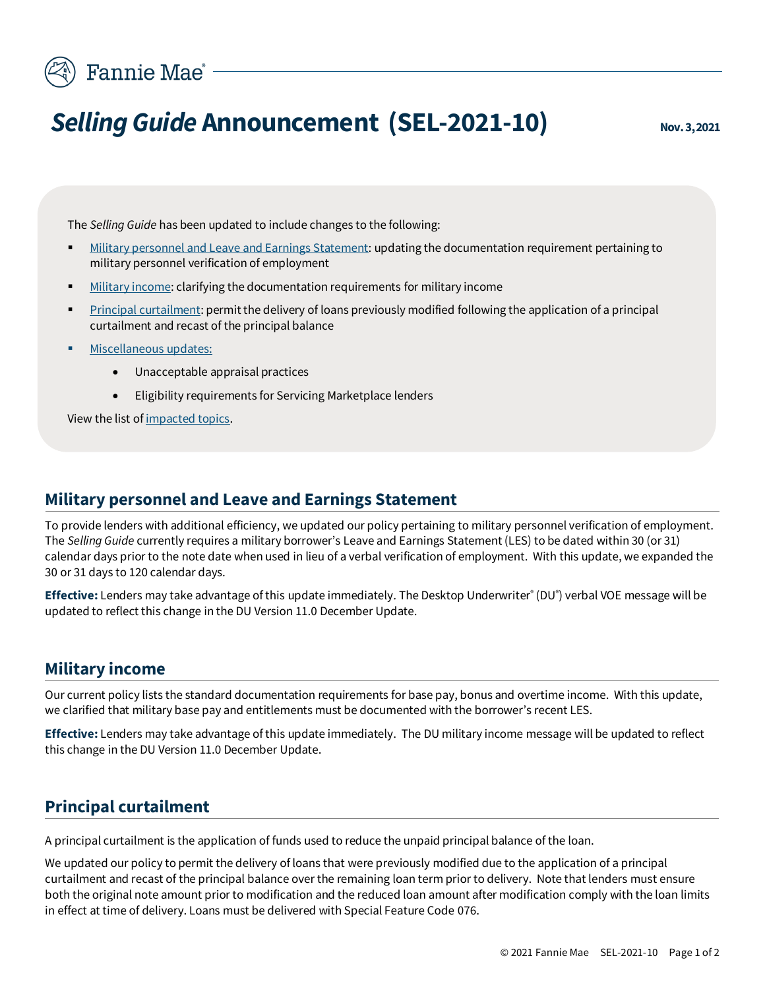# Fannie Mae<sup>®</sup>

# *Selling Guide* **Announcement (SEL-2021-10) Nov.3, 2021**

The *Selling Guide* has been updated to include changes to the following:

- [Military personnel and Leave and Earnings](#page-1-0) Statement: updating the documentation requirement pertaining to military personnel verification of employment
- [Military income:](#page-1-1) clarifying the documentation requirements for military income
- [Principal curtailment:](#page-1-2) permit the delivery of loans previously modified following the application of a principal curtailment and recast of the principal balance
- [Miscellaneous updates:](#page-2-0)
	- Unacceptable appraisal practices
	- Eligibility requirements for Servicing Marketplace lenders

View the list of [impacted topics.](#page-2-1)

### **Military personnel and Leave and Earnings Statement**

<span id="page-1-0"></span>To provide lenders with additional efficiency, we updated our policy pertaining to military personnel verification of employment. The *Selling Guide* currently requires a military borrower's Leave and Earnings Statement(LES) to be dated within 30 (or 31) calendar days prior to the note date when used in lieu of a verbal verification of employment. With this update, we expanded the 30 or 31 days to 120 calendar days.

Effective: Lenders may take advantage of this update immediately. The Desktop Underwriter<sup>®</sup> (DU<sup>®</sup>) verbal VOE message will be updated to reflect this change in the DU Version 11.0 December Update.

### **Military income**

<span id="page-1-1"></span>Our current policy lists the standard documentation requirements for base pay, bonus and overtime income. With this update, we clarified that military base pay and entitlements must be documented with the borrower's recent LES.

**Effective:** Lenders may take advantage of this update immediately. The DU military income message will be updated to reflect this change in the DU Version 11.0 December Update.

# **Principal curtailment**

<span id="page-1-2"></span>A principal curtailment is the application of funds used to reduce the unpaid principal balance of the loan.

We updated our policy to permit the delivery of loans that were previously modified due to the application of a principal curtailment and recast of the principal balance over the remaining loan term prior to delivery. Note that lenders must ensure both the original note amount prior to modification and the reduced loan amount after modification comply with the loan limits in effect at time of delivery. Loans must be delivered with Special Feature Code 076.